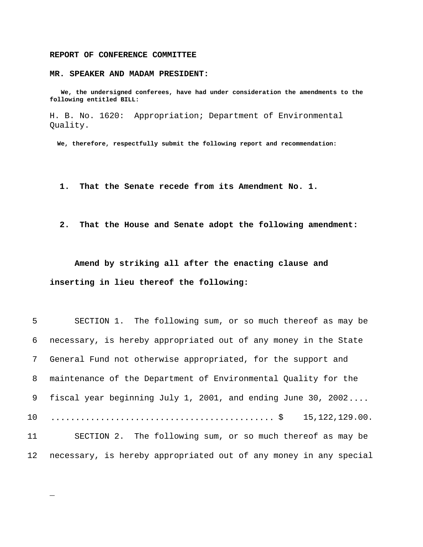## **REPORT OF CONFERENCE COMMITTEE**

\_

## **MR. SPEAKER AND MADAM PRESIDENT:**

 **We, the undersigned conferees, have had under consideration the amendments to the following entitled BILL:**

H. B. No. 1620: Appropriation; Department of Environmental Quality.

 **We, therefore, respectfully submit the following report and recommendation:**

- **1. That the Senate recede from its Amendment No. 1.**
- **2. That the House and Senate adopt the following amendment:**

**Amend by striking all after the enacting clause and inserting in lieu thereof the following:**

| 5          | SECTION 1. The following sum, or so much thereof as may be        |
|------------|-------------------------------------------------------------------|
| 6          | necessary, is hereby appropriated out of any money in the State   |
| $7\degree$ | General Fund not otherwise appropriated, for the support and      |
| 8          | maintenance of the Department of Environmental Quality for the    |
| 9          | fiscal year beginning July 1, 2001, and ending June 30, 2002      |
| 10         | 15, 122, 129.00.                                                  |
| 11         | SECTION 2. The following sum, or so much thereof as may be        |
| 12         | necessary, is hereby appropriated out of any money in any special |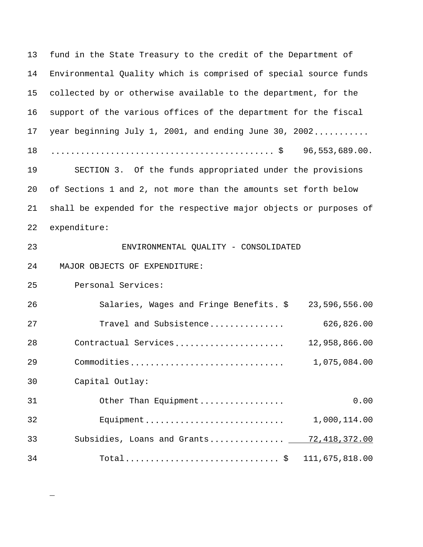13 fund in the State Treasury to the credit of the Department of 14 Environmental Quality which is comprised of special source funds 15 collected by or otherwise available to the department, for the 16 support of the various offices of the department for the fiscal 17 year beginning July 1, 2001, and ending June 30, 2002........... 18 ............................................. \$ 96,553,689.00. 19 SECTION 3. Of the funds appropriated under the provisions 20 of Sections 1 and 2, not more than the amounts set forth below 21 shall be expended for the respective major objects or purposes of 22 expenditure: 23 ENVIRONMENTAL QUALITY - CONSOLIDATED 24 MAJOR OBJECTS OF EXPENDITURE: 25 Personal Services: 26 Salaries, Wages and Fringe Benefits. \$ 23,596,556.00 27 Travel and Subsistence............... 626,826.00 28 Contractual Services...................... 12,958,866.00 29 Commodities............................... 1,075,084.00 30 Capital Outlay: 31 Other Than Equipment................. 0.00 32 Equipment............................ 1,000,114.00 33 Subsidies, Loans and Grants............... 72,418,372.00 34 Total............................... \$ 111,675,818.00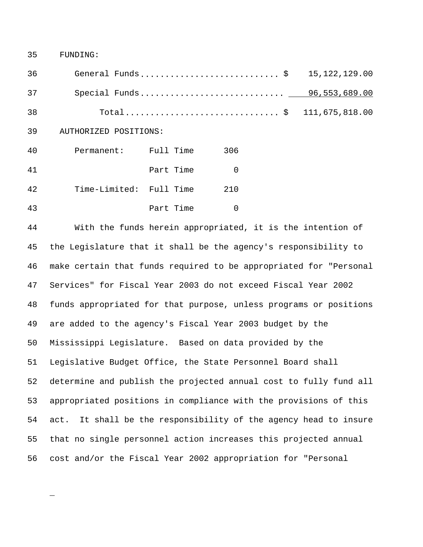35 FUNDING:

\_

36 General Funds............................ \$ 15,122,129.00 37 Special Funds............................. 96,553,689.00 38 Total............................... \$ 111,675,818.00 39 AUTHORIZED POSITIONS: 40 Permanent: Full Time 306 41 Part Time 0 42 Time-Limited: Full Time 210 43 Part Time 0

 With the funds herein appropriated, it is the intention of the Legislature that it shall be the agency's responsibility to make certain that funds required to be appropriated for "Personal Services" for Fiscal Year 2003 do not exceed Fiscal Year 2002 funds appropriated for that purpose, unless programs or positions are added to the agency's Fiscal Year 2003 budget by the Mississippi Legislature. Based on data provided by the Legislative Budget Office, the State Personnel Board shall determine and publish the projected annual cost to fully fund all appropriated positions in compliance with the provisions of this act. It shall be the responsibility of the agency head to insure that no single personnel action increases this projected annual cost and/or the Fiscal Year 2002 appropriation for "Personal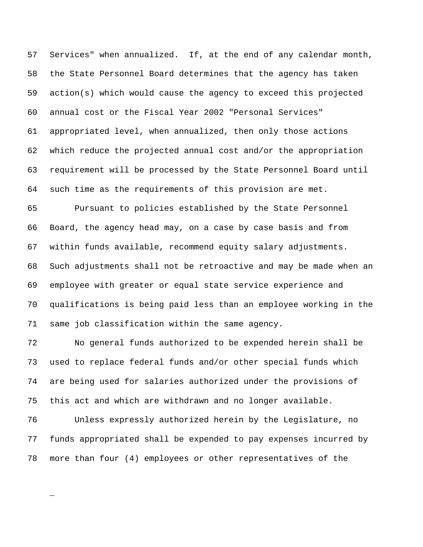Services" when annualized. If, at the end of any calendar month, the State Personnel Board determines that the agency has taken action(s) which would cause the agency to exceed this projected annual cost or the Fiscal Year 2002 "Personal Services" appropriated level, when annualized, then only those actions which reduce the projected annual cost and/or the appropriation requirement will be processed by the State Personnel Board until such time as the requirements of this provision are met.

 Pursuant to policies established by the State Personnel Board, the agency head may, on a case by case basis and from within funds available, recommend equity salary adjustments. Such adjustments shall not be retroactive and may be made when an employee with greater or equal state service experience and qualifications is being paid less than an employee working in the same job classification within the same agency.

 No general funds authorized to be expended herein shall be used to replace federal funds and/or other special funds which are being used for salaries authorized under the provisions of this act and which are withdrawn and no longer available.

 Unless expressly authorized herein by the Legislature, no funds appropriated shall be expended to pay expenses incurred by more than four (4) employees or other representatives of the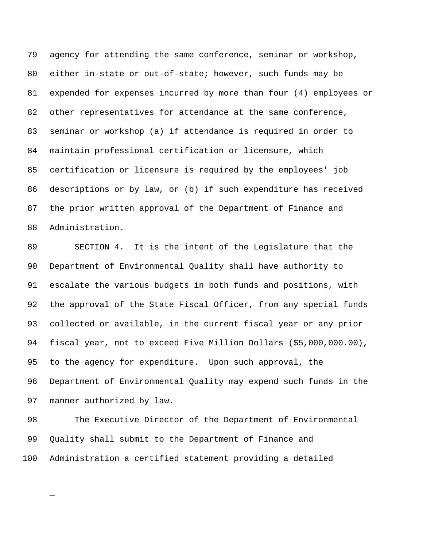agency for attending the same conference, seminar or workshop, either in-state or out-of-state; however, such funds may be expended for expenses incurred by more than four (4) employees or other representatives for attendance at the same conference, seminar or workshop (a) if attendance is required in order to maintain professional certification or licensure, which certification or licensure is required by the employees' job descriptions or by law, or (b) if such expenditure has received the prior written approval of the Department of Finance and Administration.

 SECTION 4. It is the intent of the Legislature that the Department of Environmental Quality shall have authority to escalate the various budgets in both funds and positions, with the approval of the State Fiscal Officer, from any special funds collected or available, in the current fiscal year or any prior fiscal year, not to exceed Five Million Dollars (\$5,000,000.00), to the agency for expenditure. Upon such approval, the Department of Environmental Quality may expend such funds in the manner authorized by law.

 The Executive Director of the Department of Environmental Quality shall submit to the Department of Finance and Administration a certified statement providing a detailed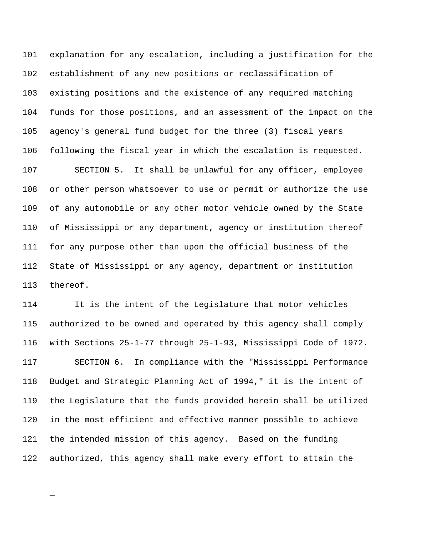explanation for any escalation, including a justification for the establishment of any new positions or reclassification of existing positions and the existence of any required matching funds for those positions, and an assessment of the impact on the agency's general fund budget for the three (3) fiscal years following the fiscal year in which the escalation is requested. SECTION 5. It shall be unlawful for any officer, employee or other person whatsoever to use or permit or authorize the use of any automobile or any other motor vehicle owned by the State of Mississippi or any department, agency or institution thereof for any purpose other than upon the official business of the State of Mississippi or any agency, department or institution thereof.

 It is the intent of the Legislature that motor vehicles authorized to be owned and operated by this agency shall comply with Sections 25-1-77 through 25-1-93, Mississippi Code of 1972. SECTION 6. In compliance with the "Mississippi Performance Budget and Strategic Planning Act of 1994," it is the intent of the Legislature that the funds provided herein shall be utilized in the most efficient and effective manner possible to achieve the intended mission of this agency. Based on the funding authorized, this agency shall make every effort to attain the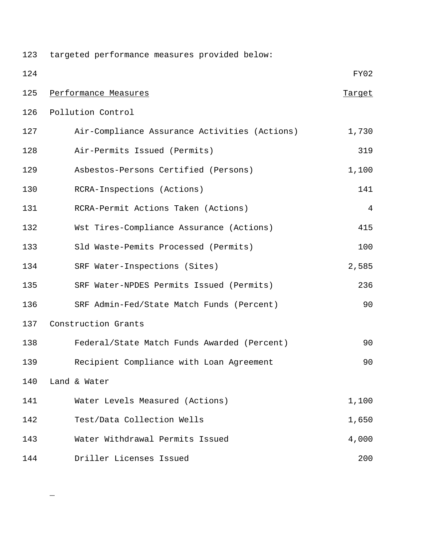| 123 | targeted performance measures provided below: |                |
|-----|-----------------------------------------------|----------------|
| 124 |                                               | FY02           |
| 125 | Performance Measures                          | Target         |
| 126 | Pollution Control                             |                |
| 127 | Air-Compliance Assurance Activities (Actions) | 1,730          |
| 128 | Air-Permits Issued (Permits)                  | 319            |
| 129 | Asbestos-Persons Certified (Persons)          | 1,100          |
| 130 | RCRA-Inspections (Actions)                    | 141            |
| 131 | RCRA-Permit Actions Taken (Actions)           | $\overline{4}$ |
| 132 | Wst Tires-Compliance Assurance (Actions)      | 415            |
| 133 | Sld Waste-Pemits Processed (Permits)          | 100            |
| 134 | SRF Water-Inspections (Sites)                 | 2,585          |
| 135 | SRF Water-NPDES Permits Issued (Permits)      | 236            |
| 136 | SRF Admin-Fed/State Match Funds (Percent)     | 90             |
| 137 | Construction Grants                           |                |
| 138 | Federal/State Match Funds Awarded (Percent)   | 90             |
| 139 | Recipient Compliance with Loan Agreement      | 90             |
| 140 | Land & Water                                  |                |
| 141 | Water Levels Measured (Actions)               | 1,100          |
| 142 | Test/Data Collection Wells                    | 1,650          |
| 143 | Water Withdrawal Permits Issued               | 4,000          |
| 144 | Driller Licenses Issued                       | 200            |

 $\overline{\phantom{0}}$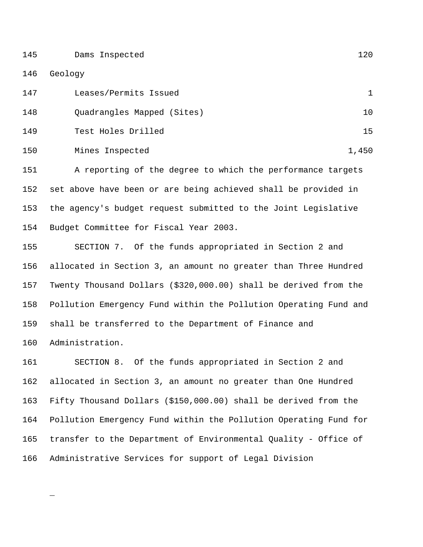Dams Inspected 120

Geology

\_

| 147 | Leases/Permits Issued      |       |
|-----|----------------------------|-------|
| 148 | Quadrangles Mapped (Sites) | 10    |
| 149 | Test Holes Drilled         | 15    |
| 150 | Mines Inspected            | 1,450 |

 A reporting of the degree to which the performance targets set above have been or are being achieved shall be provided in the agency's budget request submitted to the Joint Legislative Budget Committee for Fiscal Year 2003.

 SECTION 7. Of the funds appropriated in Section 2 and allocated in Section 3, an amount no greater than Three Hundred Twenty Thousand Dollars (\$320,000.00) shall be derived from the Pollution Emergency Fund within the Pollution Operating Fund and shall be transferred to the Department of Finance and Administration.

 SECTION 8. Of the funds appropriated in Section 2 and allocated in Section 3, an amount no greater than One Hundred Fifty Thousand Dollars (\$150,000.00) shall be derived from the Pollution Emergency Fund within the Pollution Operating Fund for transfer to the Department of Environmental Quality - Office of Administrative Services for support of Legal Division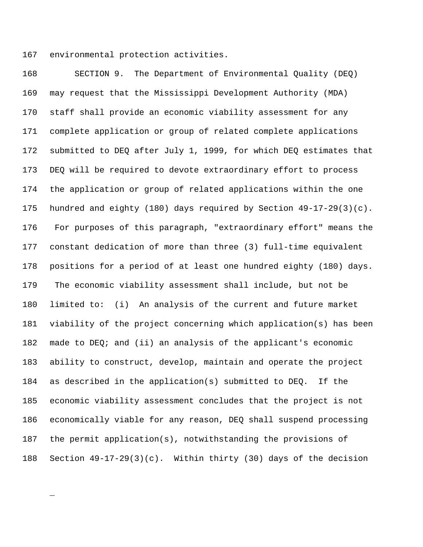environmental protection activities.

\_

 SECTION 9. The Department of Environmental Quality (DEQ) may request that the Mississippi Development Authority (MDA) staff shall provide an economic viability assessment for any complete application or group of related complete applications submitted to DEQ after July 1, 1999, for which DEQ estimates that DEQ will be required to devote extraordinary effort to process the application or group of related applications within the one hundred and eighty (180) days required by Section 49-17-29(3)(c). 176 For purposes of this paragraph, "extraordinary effort" means the constant dedication of more than three (3) full-time equivalent positions for a period of at least one hundred eighty (180) days. 179 The economic viability assessment shall include, but not be limited to: (i) An analysis of the current and future market viability of the project concerning which application(s) has been made to DEQ; and (ii) an analysis of the applicant's economic ability to construct, develop, maintain and operate the project as described in the application(s) submitted to DEQ. If the economic viability assessment concludes that the project is not economically viable for any reason, DEQ shall suspend processing the permit application(s), notwithstanding the provisions of Section 49-17-29(3)(c). Within thirty (30) days of the decision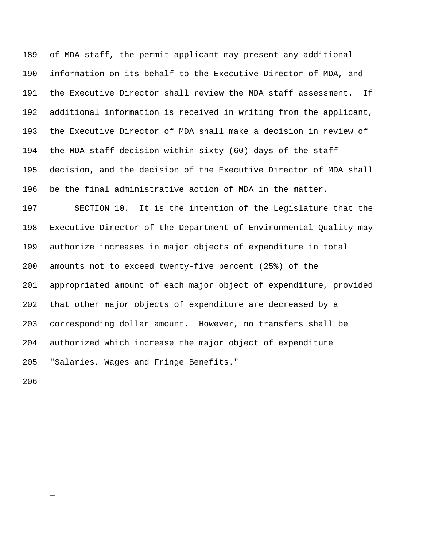of MDA staff, the permit applicant may present any additional information on its behalf to the Executive Director of MDA, and the Executive Director shall review the MDA staff assessment. If additional information is received in writing from the applicant, the Executive Director of MDA shall make a decision in review of the MDA staff decision within sixty (60) days of the staff decision, and the decision of the Executive Director of MDA shall be the final administrative action of MDA in the matter.

 SECTION 10. It is the intention of the Legislature that the Executive Director of the Department of Environmental Quality may authorize increases in major objects of expenditure in total amounts not to exceed twenty-five percent (25%) of the appropriated amount of each major object of expenditure, provided that other major objects of expenditure are decreased by a corresponding dollar amount. However, no transfers shall be authorized which increase the major object of expenditure "Salaries, Wages and Fringe Benefits."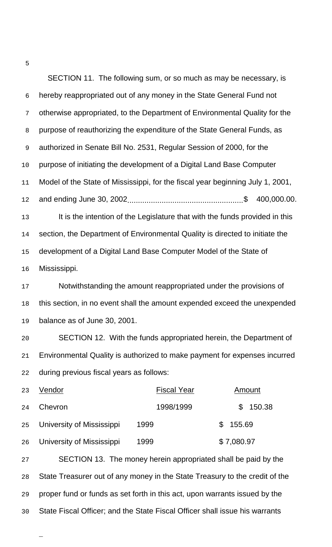SECTION 11. The following sum, or so much as may be necessary, is hereby reappropriated out of any money in the State General Fund not otherwise appropriated, to the Department of Environmental Quality for the purpose of reauthorizing the expenditure of the State General Funds, as authorized in Senate Bill No. 2531, Regular Session of 2000, for the purpose of initiating the development of a Digital Land Base Computer Model of the State of Mississippi, for the fiscal year beginning July 1, 2001, and ending June 30, 2002......................................................\$ 400,000.00. It is the intention of the Legislature that with the funds provided in this 14 section, the Department of Environmental Quality is directed to initiate the development of a Digital Land Base Computer Model of the State of Mississippi.

17 Notwithstanding the amount reappropriated under the provisions of this section, in no event shall the amount expended exceed the unexpended balance as of June 30, 2001.

 SECTION 12. With the funds appropriated herein, the Department of Environmental Quality is authorized to make payment for expenses incurred during previous fiscal years as follows:

| 23 | Vendor                           | <b>Fiscal Year</b> | Amount        |
|----|----------------------------------|--------------------|---------------|
| 24 | Chevron                          | 1998/1999          | \$150.38      |
| 25 | <b>University of Mississippi</b> | 1999               | 155.69<br>\$. |
| 26 | <b>University of Mississippi</b> | 1999               | \$7,080.97    |

 SECTION 13. The money herein appropriated shall be paid by the State Treasurer out of any money in the State Treasury to the credit of the proper fund or funds as set forth in this act, upon warrants issued by the State Fiscal Officer; and the State Fiscal Officer shall issue his warrants